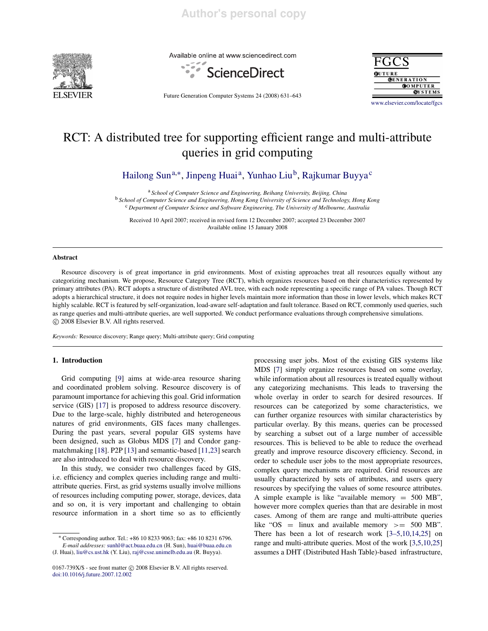

Available online at www.sciencedirect.com





Future Generation Computer Systems 24 (2008) 631–643

# RCT: A distributed tree for supporting efficient range and multi-attribute queries in grid computing

Hailong Sun<sup>a,∗</sup>, Jinpeng Huai<sup>a</sup>, Yunhao Liu<sup>b</sup>, Rajkumar Buyya<sup>c</sup>

a School of Computer Science and Engineering, Beihang University, Beijing, China

<sup>b</sup> School of Computer Science and Engineering, Hong Kong University of Science and Technology, Hong Kong <sup>c</sup> Department of Computer Science and Software Engineering, The University of Melbourne, Australia

Received 10 April 2007; received in revised form 12 December 2007; accepted 23 December 2007 Available online 15 January 2008

## Abstract

Resource discovery is of great importance in grid environments. Most of existing approaches treat all resources equally without any categorizing mechanism. We propose, Resource Category Tree (RCT), which organizes resources based on their characteristics represented by primary attributes (PA). RCT adopts a structure of distributed AVL tree, with each node representing a specific range of PA values. Though RCT adopts a hierarchical structure, it does not require nodes in higher levels maintain more information than those in lower levels, which makes RCT highly scalable. RCT is featured by self-organization, load-aware self-adaptation and fault tolerance. Based on RCT, commonly used queries, such as range queries and multi-attribute queries, are well supported. We conduct performance evaluations through comprehensive simulations. c 2008 Elsevier B.V. All rights reserved.

Keywords: Resource discovery; Range query; Multi-attribute query; Grid computing

## 1. Introduction

Grid computing [9] aims at wide-area resource sharing and coordinated problem solving. Resource discovery is of paramount importance for achieving this goal. Grid information service (GIS) [17] is proposed to address resource discovery. Due to the large-scale, highly distributed and heterogeneous natures of grid environments, GIS faces many challenges. During the past years, several popular GIS systems have been designed, such as Globus MDS [7] and Condor gangmatchmaking [18]. P2P [13] and semantic-based [11,23] search are also introduced to deal with resource discovery.

In this study, we consider two challenges faced by GIS, i.e. efficiency and complex queries including range and multiattribute queries. First, as grid systems usually involve millions of resources including computing power, storage, devices, data and so on, it is very important and challenging to obtain resource information in a short time so as to efficiently

processing user jobs. Most of the existing GIS systems like MDS [7] simply organize resources based on some overlay, while information about all resources is treated equally without any categorizing mechanisms. This leads to traversing the whole overlay in order to search for desired resources. If resources can be categorized by some characteristics, we can further organize resources with similar characteristics by particular overlay. By this means, queries can be processed by searching a subset out of a large number of accessible resources. This is believed to be able to reduce the overhead greatly and improve resource discovery efficiency. Second, in order to schedule user jobs to the most appropriate resources, complex query mechanisms are required. Grid resources are usually characterized by sets of attributes, and users query resources by specifying the values of some resource attributes. A simple example is like "available memory  $= 500$  MB", however more complex queries than that are desirable in most cases. Among of them are range and multi-attribute queries like "OS = linux and available memory  $>= 500$  MB". There has been a lot of research work [3–5,10,14,25] on range and multi-attribute queries. Most of the work [3,5,10,25] assumes a DHT (Distributed Hash Table)-based infrastructure,

<sup>∗</sup> Corresponding author. Tel.: +86 10 8233 9063; fax: +86 10 8231 6796. E-mail addresses: sunhl@act.buaa.edu.cn (H. Sun), huai@buaa.edu.cn (J. Huai), liu@cs.ust.hk (Y. Liu), raj@csse.unimelb.edu.au (R. Buyya).

<sup>0167-739</sup>X/\$ - see front matter © 2008 Elsevier B.V. All rights reserved. doi:10.1016/j.future.2007.12.002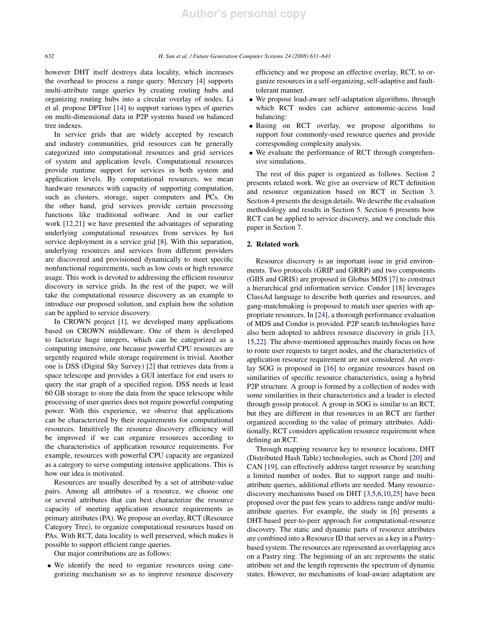however DHT itself destroys data locality, which increases the overhead to process a range query. Mercury [4] supports multi-attribute range queries by creating routing hubs and organizing routing hubs into a circular overlay of nodes. Li et al. propose DPTree [14] to support various types of queries on multi-dimensional data in P2P systems based on balanced tree indexes.

In service grids that are widely accepted by research and industry communities, grid resources can be generally categorized into computational resources and grid services of system and application levels. Computational resources provide runtime support for services in both system and application levels. By computational resources, we mean hardware resources with capacity of supporting computation, such as clusters, storage, super computers and PCs. On the other hand, grid services provide certain processing functions like traditional software. And in our earlier work [12,21] we have presented the advantages of separating underlying computational resources from services by hot service deployment in a service grid [8]. With this separation, underlying resources and services from different providers are discovered and provisioned dynamically to meet specific nonfunctional requirements, such as low costs or high resource usage. This work is devoted to addressing the efficient resource discovery in service grids. In the rest of the paper, we will take the computational resource discovery as an example to introduce our proposed solution, and explain how the solution can be applied to service discovery.

In CROWN project [1], we developed many applications based on CROWN middleware. One of them is developed to factorize huge integers, which can be categorized as a computing intensive, one because powerful CPU resources are urgently required while storage requirement is trivial. Another one is DSS (Digital Sky Survey) [2] that retrieves data from a space telescope and provides a GUI interface for end users to query the star graph of a specified region. DSS needs at least 60 GB storage to store the data from the space telescope while processing of user queries does not require powerful computing power. With this experience, we observe that applications can be characterized by their requirements for computational resources. Intuitively the resource discovery efficiency will be improved if we can organize resources according to the characteristics of application resource requirements. For example, resources with powerful CPU capacity are organized as a category to serve computing intensive applications. This is how our idea is motivated.

Resources are usually described by a set of attribute-value pairs. Among all attributes of a resource, we choose one or several attributes that can best characterize the resource capacity of meeting application resource requirements as primary attributes (PA). We propose an overlay, RCT (Resource Category Tree), to organize computational resources based on PAs. With RCT, data locality is well preserved, which makes it possible to support efficient range queries.

Our major contributions are as follows:

• We identify the need to organize resources using categorizing mechanism so as to improve resource discovery efficiency and we propose an effective overlay, RCT, to organize resources in a self-organizing, self-adaptive and faulttolerant manner.

- We propose load-aware self-adaptation algorithms, through which RCT nodes can achieve autonomic-access load balancing:
- Basing on RCT overlay, we propose algorithms to support four commonly-used resource queries and provide corresponding complexity analysis.
- We evaluate the performance of RCT through comprehensive simulations.

The rest of this paper is organized as follows. Section 2 presents related work. We give an overview of RCT definition and resource organization based on RCT in Section 3. Section 4 presents the design details. We describe the evaluation methodology and results in Section 5. Section 6 presents how RCT can be applied to service discovery, and we conclude this paper in Section 7.

# 2. Related work

Resource discovery is an important issue in grid environments. Two protocols (GRIP and GRRP) and two components (GIIS and GRIS) are proposed in Globus MDS [7] to construct a hierarchical grid information service. Condor [18] leverages ClassAd language to describe both queries and resources, and gang-matchmaking is proposed to match user queries with appropriate resources. In [24], a thorough performance evaluation of MDS and Condor is provided. P2P search technologies have also been adopted to address resource discovery in grids [13, 15,22]. The above-mentioned approaches mainly focus on how to route user requests to target nodes, and the characteristics of application resource requirement are not considered. An overlay SOG is proposed in [16] to organize resources based on similarities of specific resource characteristics, using a hybrid P2P structure. A group is formed by a collection of nodes with some similarities in their characteristics and a leader is elected through gossip protocol. A group in SOG is similar to an RCT, but they are different in that resources in an RCT are further organized according to the value of primary attributes. Additionally, RCT considers application resource requirement when defining an RCT.

Through mapping resource key to resource locations, DHT (Distributed Hash Table) technologies, such as Chord [20] and CAN [19], can effectively address target resource by searching a limited number of nodes. But to support range and multiattribute queries, additional efforts are needed. Many resourcediscovery mechanisms based on DHT [3,5,6,10,25] have been proposed over the past few years to address range and/or multiattribute queries. For example, the study in [6] presents a DHT-based peer-to-peer approach for computational-resource discovery. The static and dynamic parts of resource attributes are combined into a Resource ID that serves as a key in a Pastrybased system. The resources are represented as overlapping arcs on a Pastry ring. The beginning of an arc represents the static attribute set and the length represents the spectrum of dynamic states. However, no mechanisms of load-aware adaptation are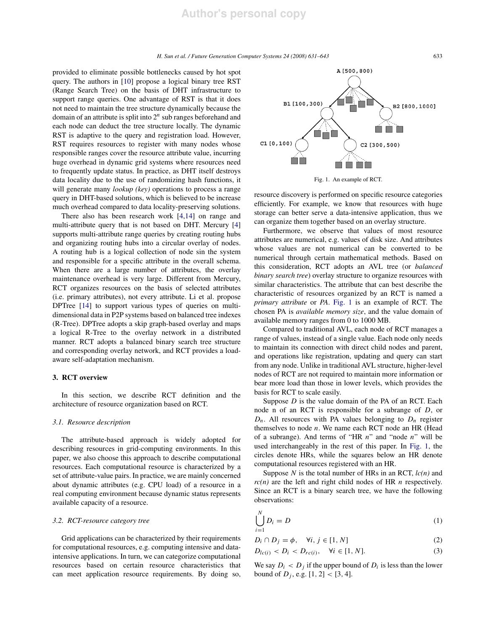provided to eliminate possible bottlenecks caused by hot spot query. The authors in [10] propose a logical binary tree RST (Range Search Tree) on the basis of DHT infrastructure to support range queries. One advantage of RST is that it does not need to maintain the tree structure dynamically because the domain of an attribute is split into  $2<sup>n</sup>$  sub ranges beforehand and each node can deduct the tree structure locally. The dynamic RST is adaptive to the query and registration load. However, RST requires resources to register with many nodes whose responsible ranges cover the resource attribute value, incurring huge overhead in dynamic grid systems where resources need to frequently update status. In practice, as DHT itself destroys data locality due to the use of randomizing hash functions, it will generate many *lookup* (key) operations to process a range query in DHT-based solutions, which is believed to be increase much overhead compared to data locality-preserving solutions.

There also has been research work [4,14] on range and multi-attribute query that is not based on DHT. Mercury [4] supports multi-attribute range queries by creating routing hubs and organizing routing hubs into a circular overlay of nodes. A routing hub is a logical collection of node sin the system and responsible for a specific attribute in the overall schema. When there are a large number of attributes, the overlay maintenance overhead is very large. Different from Mercury, RCT organizes resources on the basis of selected attributes (i.e. primary attributes), not every attribute. Li et al. propose DPTree [14] to support various types of queries on multidimensional data in P2P systems based on balanced tree indexes (R-Tree). DPTree adopts a skip graph-based overlay and maps a logical R-Tree to the overlay network in a distributed manner. RCT adopts a balanced binary search tree structure and corresponding overlay network, and RCT provides a loadaware self-adaptation mechanism.

# 3. RCT overview

In this section, we describe RCT definition and the architecture of resource organization based on RCT.

## 3.1. Resource description

The attribute-based approach is widely adopted for describing resources in grid-computing environments. In this paper, we also choose this approach to describe computational resources. Each computational resource is characterized by a set of attribute-value pairs. In practice, we are mainly concerned about dynamic attributes (e.g. CPU load) of a resource in a real computing environment because dynamic status represents available capacity of a resource.

## 3.2. RCT-resource category tree

Grid applications can be characterized by their requirements for computational resources, e.g. computing intensive and dataintensive applications. In turn, we can categorize computational resources based on certain resource characteristics that can meet application resource requirements. By doing so,



Fig. 1. An example of RCT.

resource discovery is performed on specific resource categories efficiently. For example, we know that resources with huge storage can better serve a data-intensive application, thus we can organize them together based on an overlay structure.

Furthermore, we observe that values of most resource attributes are numerical, e.g. values of disk size. And attributes whose values are not numerical can be converted to be numerical through certain mathematical methods. Based on this consideration, RCT adopts an AVL tree (or balanced binary search tree) overlay structure to organize resources with similar characteristics. The attribute that can best describe the characteristic of resources organized by an RCT is named a primary attribute or PA. Fig. 1 is an example of RCT. The chosen PA is available memory size, and the value domain of available memory ranges from 0 to 1000 MB.

Compared to traditional AVL, each node of RCT manages a range of values, instead of a single value. Each node only needs to maintain its connection with direct child nodes and parent, and operations like registration, updating and query can start from any node. Unlike in traditional AVL structure, higher-level nodes of RCT are not required to maintain more information or bear more load than those in lower levels, which provides the basis for RCT to scale easily.

Suppose  $D$  is the value domain of the PA of an RCT. Each node n of an RCT is responsible for a subrange of D, or  $D_n$ . All resources with PA values belonging to  $D_n$  register themselves to node  $n$ . We name each RCT node an HR (Head of a subrange). And terms of "HR  $n$ " and "node  $n$ " will be used interchangeably in the rest of this paper. In Fig. 1, the circles denote HRs, while the squares below an HR denote computational resources registered with an HR.

Suppose N is the total number of HRs in an RCT,  $lc(n)$  and  $rc(n)$  are the left and right child nodes of HR n respectively. Since an RCT is a binary search tree, we have the following observations:

$$
\bigcup_{i=1}^{N} D_i = D \tag{1}
$$

 $\ddot{\phantom{a}}$ 

$$
D_i \cap D_j = \phi, \quad \forall i, j \in [1, N]
$$
 (2)

$$
D_{lc(i)} < D_i < D_{rc(i)}, \quad \forall i \in [1, N]. \tag{3}
$$

We say  $D_i < D_j$  if the upper bound of  $D_i$  is less than the lower bound of  $D_j$ , e.g.  $[1, 2] < [3, 4]$ .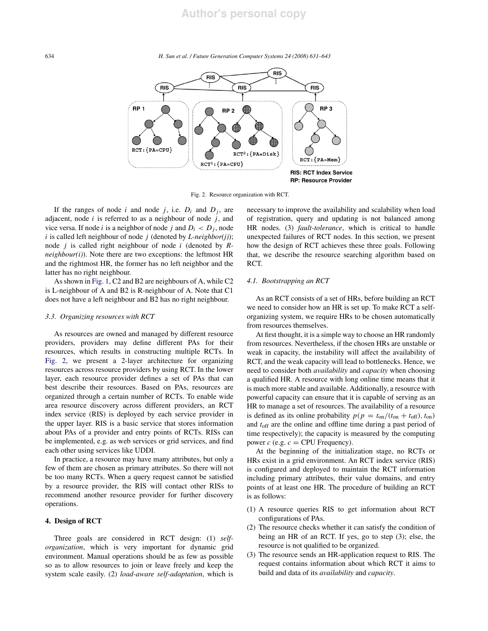

Fig. 2. Resource organization with RCT.

If the ranges of node i and node j, i.e.  $D_i$  and  $D_j$ , are adjacent, node  $i$  is referred to as a neighbour of node  $j$ , and vice versa. If node *i* is a neighbor of node *j* and  $D_i < D_j$ , node i is called left neighbour of node  $j$  (denoted by  $L$ -neighbor(j)); node  $j$  is called right neighbour of node  $i$  (denoted by  $R$  $neighbor(i)$ ). Note there are two exceptions: the leftmost HR and the rightmost HR, the former has no left neighbor and the latter has no right neighbour.

As shown in Fig. 1, C2 and B2 are neighbours of A, while C2 is L-neighbour of A and B2 is R-neighbour of A. Note that C1 does not have a left neighbour and B2 has no right neighbour.

### 3.3. Organizing resources with RCT

As resources are owned and managed by different resource providers, providers may define different PAs for their resources, which results in constructing multiple RCTs. In Fig. 2, we present a 2-layer architecture for organizing resources across resource providers by using RCT. In the lower layer, each resource provider defines a set of PAs that can best describe their resources. Based on PAs, resources are organized through a certain number of RCTs. To enable wide area resource discovery across different providers, an RCT index service (RIS) is deployed by each service provider in the upper layer. RIS is a basic service that stores information about PAs of a provider and entry points of RCTs. RISs can be implemented, e.g. as web services or grid services, and find each other using services like UDDI.

In practice, a resource may have many attributes, but only a few of them are chosen as primary attributes. So there will not be too many RCTs. When a query request cannot be satisfied by a resource provider, the RIS will contact other RISs to recommend another resource provider for further discovery operations.

## 4. Design of RCT

Three goals are considered in RCT design: (1) selforganization, which is very important for dynamic grid environment. Manual operations should be as few as possible so as to allow resources to join or leave freely and keep the system scale easily. (2) load-aware self-adaptation, which is

necessary to improve the availability and scalability when load of registration, query and updating is not balanced among HR nodes. (3) fault-tolerance, which is critical to handle unexpected failures of RCT nodes. In this section, we present how the design of RCT achieves these three goals. Following that, we describe the resource searching algorithm based on RCT.

# 4.1. Bootstrapping an RCT

As an RCT consists of a set of HRs, before building an RCT we need to consider how an HR is set up. To make RCT a selforganizing system, we require HRs to be chosen automatically from resources themselves.

At first thought, it is a simple way to choose an HR randomly from resources. Nevertheless, if the chosen HRs are unstable or weak in capacity, the instability will affect the availability of RCT, and the weak capacity will lead to bottlenecks. Hence, we need to consider both *availability* and *capacity* when choosing a qualified HR. A resource with long online time means that it is much more stable and available. Additionally, a resource with powerful capacity can ensure that it is capable of serving as an HR to manage a set of resources. The availability of a resource is defined as its online probability  $p(p = t_{on}/(t_{on} + t_{off}), t_{on})$ and  $t_{off}$  are the online and offline time during a past period of time respectively); the capacity is measured by the computing power  $c$  (e.g.  $c$  = CPU Frequency).

At the beginning of the initialization stage, no RCTs or HRs exist in a grid environment. An RCT index service (RIS) is configured and deployed to maintain the RCT information including primary attributes, their value domains, and entry points of at least one HR. The procedure of building an RCT is as follows:

- (1) A resource queries RIS to get information about RCT configurations of PAs.
- (2) The resource checks whether it can satisfy the condition of being an HR of an RCT. If yes, go to step (3); else, the resource is not qualified to be organized.
- (3) The resource sends an HR-application request to RIS. The request contains information about which RCT it aims to build and data of its availability and capacity.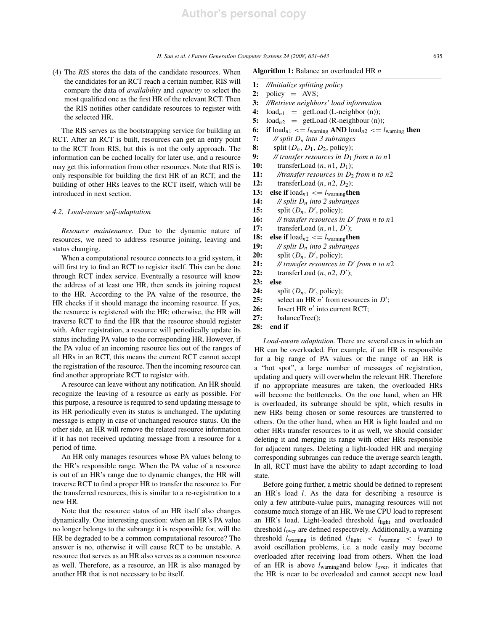(4) The RIS stores the data of the candidate resources. When the candidates for an RCT reach a certain number, RIS will compare the data of availability and capacity to select the most qualified one as the first HR of the relevant RCT. Then the RIS notifies other candidate resources to register with the selected HR.

The RIS serves as the bootstrapping service for building an RCT. After an RCT is built, resources can get an entry point to the RCT from RIS, but this is not the only approach. The information can be cached locally for later use, and a resource may get this information from other resources. Note that RIS is only responsible for building the first HR of an RCT, and the building of other HRs leaves to the RCT itself, which will be introduced in next section.

#### 4.2. Load-aware self-adaptation

Resource maintenance. Due to the dynamic nature of resources, we need to address resource joining, leaving and status changing.

When a computational resource connects to a grid system, it will first try to find an RCT to register itself. This can be done through RCT index service. Eventually a resource will know the address of at least one HR, then sends its joining request to the HR. According to the PA value of the resource, the HR checks if it should manage the incoming resource. If yes, the resource is registered with the HR; otherwise, the HR will traverse RCT to find the HR that the resource should register with. After registration, a resource will periodically update its status including PA value to the corresponding HR. However, if the PA value of an incoming resource lies out of the ranges of all HRs in an RCT, this means the current RCT cannot accept the registration of the resource. Then the incoming resource can find another appropriate RCT to register with.

A resource can leave without any notification. An HR should recognize the leaving of a resource as early as possible. For this purpose, a resource is required to send updating message to its HR periodically even its status is unchanged. The updating message is empty in case of unchanged resource status. On the other side, an HR will remove the related resource information if it has not received updating message from a resource for a period of time.

An HR only manages resources whose PA values belong to the HR's responsible range. When the PA value of a resource is out of an HR's range due to dynamic changes, the HR will traverse RCT to find a proper HR to transfer the resource to. For the transferred resources, this is similar to a re-registration to a new HR.

Note that the resource status of an HR itself also changes dynamically. One interesting question: when an HR's PA value no longer belongs to the subrange it is responsible for, will the HR be degraded to be a common computational resource? The answer is no, otherwise it will cause RCT to be unstable. A resource that serves as an HR also serves as a common resource as well. Therefore, as a resource, an HR is also managed by another HR that is not necessary to be itself.

# **Algorithm 1:** Balance an overloaded HR  $n$

- 1: //Initialize splitting policy
- $2:$  policy  $=$  AVS;
- 3: //Retrieve neighbors' load information
- 4:  $load_{n1}$  = getLoad (L-neighbor (n));
- 5:  $load_{n2}$  = getLoad (R-neighbour (n));
- 6: if  $load_{n1} \leq l_{\text{warning}}$  AND  $load_{n2} \leq l_{\text{warning}}$  then
- 7: // split  $D_n$  into 3 subranges
- 8: split  $(D_n, D_1, D_2, \text{policy})$ ;<br>9: // transfer resources in  $D_1$
- // transfer resources in  $D_1$  from n to n1
- 10: transferLoad  $(n, n1, D_1);$
- 11: //transfer resources in  $D_2$  from n to n2
- 12: transferLoad  $(n, n2, D_2);$
- 13: else if  $load_{n1} <= l_{\text{warming}}$ then
- **14:** // split  $D_n$  into 2 subranges<br>**15:** split  $(D_n, D', \text{policy});$
- 15: split  $(D_n, D', \text{policy})$ ;
- 16: // transfer resources in  $D'$  from n to n1
- 17: transferLoad  $(n, n1, D')$ ;
- 18: else if  $load_{n2} <= l_{\text{warning}}$ then
- **19:** // split  $D_n$  into 2 subranges<br>**20:** split  $(D_n, D', \text{policy});$
- **20:** split  $(D_n, D', \text{policy})$ ;
- 21: // transfer resources in  $D'$  from n to n2
- 22: transferLoad  $(n, n2, D')$ ;
- 23: else
- 24: split  $(D_n, D', \text{policy})$ ;
- 25: select an HR  $n'$  from resources in  $D'$ ;
- **26:** Insert HR  $n'$  into current RCT;
- 27: balanceTree();

#### 28: end if

Load-aware adaptation. There are several cases in which an HR can be overloaded. For example, if an HR is responsible for a big range of PA values or the range of an HR is a "hot spot", a large number of messages of registration, updating and query will overwhelm the relevant HR. Therefore if no appropriate measures are taken, the overloaded HRs will become the bottlenecks. On the one hand, when an HR is overloaded, its subrange should be split, which results in new HRs being chosen or some resources are transferred to others. On the other hand, when an HR is light loaded and no other HRs transfer resources to it as well, we should consider deleting it and merging its range with other HRs responsible for adjacent ranges. Deleting a light-loaded HR and merging corresponding subranges can reduce the average search length. In all, RCT must have the ability to adapt according to load state.

Before going further, a metric should be defined to represent an HR's load l. As the data for describing a resource is only a few attribute-value pairs, managing resources will not consume much storage of an HR. We use CPU load to represent an HR's load. Light-loaded threshold  $l_{\text{light}}$  and overloaded threshold  $l_{\text{over}}$  are defined respectively. Additionally, a warning threshold  $l_{\text{warning}}$  is defined  $(l_{\text{light}} < l_{\text{warning}} < l_{\text{over}})$  to avoid oscillation problems, i.e. a node easily may become overloaded after receiving load from others. When the load of an HR is above  $l_{\text{warming}}$  and below  $l_{\text{over}}$ , it indicates that the HR is near to be overloaded and cannot accept new load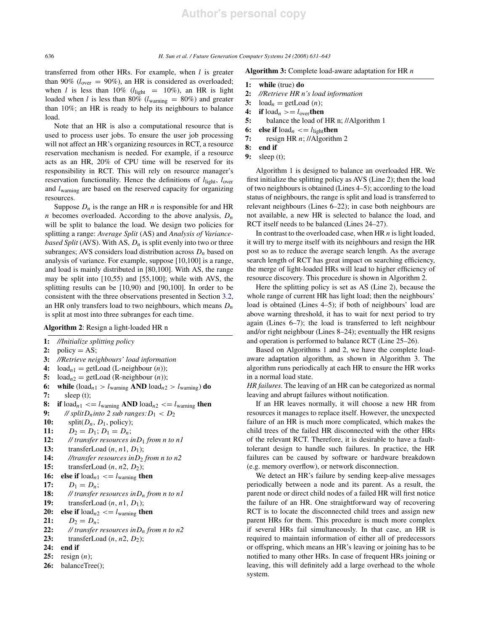transferred from other HRs. For example, when  $l$  is greater than 90% ( $l_{\text{over}} = 90\%$ ), an HR is considered as overloaded; when *l* is less than 10% ( $l_{\text{light}}$  = 10%), an HR is light loaded when *l* is less than 80% ( $l_{\text{warning}} = 80\%$ ) and greater than 10%; an HR is ready to help its neighbours to balance load.

Note that an HR is also a computational resource that is used to process user jobs. To ensure the user job processing will not affect an HR's organizing resources in RCT, a resource reservation mechanism is needed. For example, if a resource acts as an HR, 20% of CPU time will be reserved for its responsibility in RCT. This will rely on resource manager's reservation functionality. Hence the definitions of  $l_{\text{light}}$ ,  $l_{\text{over}}$ and lwarning are based on the reserved capacity for organizing resources.

Suppose  $D_n$  is the range an HR *n* is responsible for and HR *n* becomes overloaded. According to the above analysis,  $D_n$ will be split to balance the load. We design two policies for splitting a range: *Average Split* (AS) and *Analysis of Variance*based Split (AVS). With AS,  $D_n$  is split evenly into two or three subranges; AVS considers load distribution across  $D_n$  based on analysis of variance. For example, suppose [10,100] is a range, and load is mainly distributed in [80,100]. With AS, the range may be split into [10,55) and [55,100]; while with AVS, the splitting results can be [10,90) and [90,100]. In order to be consistent with the three observations presented in Section 3.2, an HR only transfers load to two neighbours, which means  $D_n$ is split at most into three subranges for each time.

```
Algorithm 2: Resign a light-loaded HR n
1: //Initialize splitting policy
2: policy = AS;
3: //Retrieve neighbours' load information
4: load_{n1} = getLoad (L-neighbor (n));5: load_{n2} = getLoad (R-neighbor (n));6: while \text{(load}_{n1} > l_{\text{warming}} AND \text{load}_{n2} > l_{\text{warming}}) do
7: sleep (t);
8: if load_{n1} <= l_{\text{warning}} AND load_{n2} <= l_{\text{warning}} then
9: // splitD_ninto 2 sub ranges: D_1 < D_210: split(D_n, D_1, policy);11: D_2 = D_1; D_1 = D_n;12: // transfer resources in D_1 from n to n1
13: transferLoad (n, n1, D_1);
14: //transfer resources in D_2 from n to n2
15: transferLoad (n, n2, D_2);
16: else if load_{n1} <= l_{\text{warning}} then
17: D_1 = D_n;18: // transfer resources in D_n from n to n1
19: transferLoad (n, n1, D_1);
20: else if load_{n2} <= l_{\text{warning}} then
21: D_2 = D_n;22: // transfer resources inD_n from n to n2
23: transferLoad (n, n2, D_2);24: end if
25: resign (n);
26: balanceTree();
```
Algorithm 3: Complete load-aware adaptation for HR  $n$ 

- 1: while (true) do
- 2: //Retrieve HR n's load information
- 3:  $load_n = getLoad(n);$
- 4: if  $load_n >= l_{over}$ then
- 5: balance the load of HR n; //Algorithm 1
- 6: else if  $load_n \leq l_{light}$ then
- 7: resign HR  $n$ ; //Algorithm 2
- 8: end if
- 9: sleep (t);

Algorithm 1 is designed to balance an overloaded HR. We first initialize the splitting policy as AVS (Line 2); then the load of two neighbours is obtained (Lines 4–5); according to the load status of neighbours, the range is split and load is transferred to relevant neighbours (Lines 6–22); in case both neighbours are not available, a new HR is selected to balance the load, and RCT itself needs to be balanced (Lines 24–27).

In contrast to the overloaded case, when HR  $n$  is light loaded, it will try to merge itself with its neighbours and resign the HR post so as to reduce the average search length. As the average search length of RCT has great impact on searching efficiency, the merge of light-loaded HRs will lead to higher efficiency of resource discovery. This procedure is shown in Algorithm 2.

Here the splitting policy is set as AS (Line 2), because the whole range of current HR has light load; then the neighbours' load is obtained (Lines 4–5); if both of neighbours' load are above warning threshold, it has to wait for next period to try again (Lines 6–7); the load is transferred to left neighbour and/or right neighbour (Lines 8–24); eventually the HR resigns and operation is performed to balance RCT (Line 25–26).

Based on Algorithms 1 and 2, we have the complete loadaware adaptation algorithm, as shown in Algorithm 3. The algorithm runs periodically at each HR to ensure the HR works in a normal load state.

HR failures. The leaving of an HR can be categorized as normal leaving and abrupt failures without notification.

If an HR leaves normally, it will choose a new HR from resources it manages to replace itself. However, the unexpected failure of an HR is much more complicated, which makes the child trees of the failed HR disconnected with the other HRs of the relevant RCT. Therefore, it is desirable to have a faulttolerant design to handle such failures. In practice, the HR failures can be caused by software or hardware breakdown (e.g. memory overflow), or network disconnection.

We detect an HR's failure by sending keep-alive messages periodically between a node and its parent. As a result, the parent node or direct child nodes of a failed HR will first notice the failure of an HR. One straightforward way of recovering RCT is to locate the disconnected child trees and assign new parent HRs for them. This procedure is much more complex if several HRs fail simultaneously. In that case, an HR is required to maintain information of either all of predecessors or offspring, which means an HR's leaving or joining has to be notified to many other HRs. In case of frequent HRs joining or leaving, this will definitely add a large overhead to the whole system.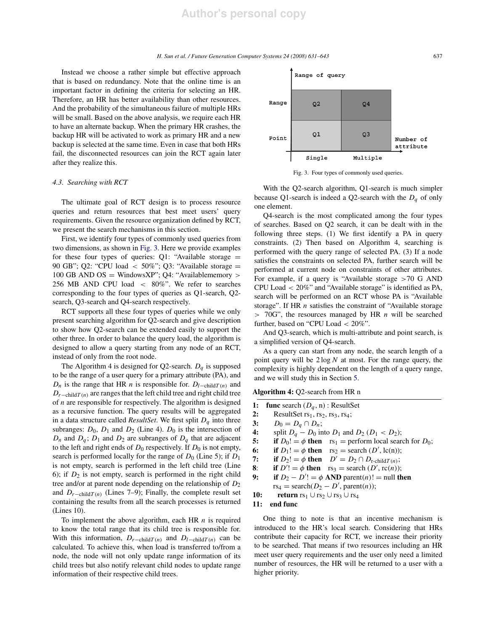Instead we choose a rather simple but effective approach that is based on redundancy. Note that the online time is an important factor in defining the criteria for selecting an HR. Therefore, an HR has better availability than other resources. And the probability of the simultaneous failure of multiple HRs will be small. Based on the above analysis, we require each HR to have an alternate backup. When the primary HR crashes, the backup HR will be activated to work as primary HR and a new backup is selected at the same time. Even in case that both HRs fail, the disconnected resources can join the RCT again later after they realize this.

# 4.3. Searching with RCT

The ultimate goal of RCT design is to process resource queries and return resources that best meet users' query requirements. Given the resource organization defined by RCT, we present the search mechanisms in this section.

First, we identify four types of commonly used queries from two dimensions, as shown in Fig. 3. Here we provide examples for these four types of queries:  $Q1$ : "Available storage = 90 GB"; Q2: "CPU load  $\langle$  50%"; Q3: "Available storage = 100 GB AND OS = WindowsXP"; Q4: "Availablememory > 256 MB AND CPU load < 80%". We refer to searches corresponding to the four types of queries as Q1-search, Q2 search, Q3-search and Q4-search respectively.

RCT supports all these four types of queries while we only present searching algorithm for Q2-search and give description to show how Q2-search can be extended easily to support the other three. In order to balance the query load, the algorithm is designed to allow a query starting from any node of an RCT, instead of only from the root node.

The Algorithm 4 is designed for Q2-search.  $D_q$  is supposed to be the range of a user query for a primary attribute (PA), and  $D_n$  is the range that HR *n* is responsible for.  $D_{l-\text{child }T(n)}$  and  $D_{r-\text{child }T(n)}$  are ranges that the left child tree and right child tree of  $n$  are responsible for respectively. The algorithm is designed as a recursive function. The query results will be aggregated in a data structure called *ResultSet*. We first split  $D_q$  into three subranges:  $D_0$ ,  $D_1$  and  $D_2$  (Line 4).  $D_0$  is the intersection of  $D_n$  and  $D_q$ ;  $D_1$  and  $D_2$  are subranges of  $D_q$  that are adjacent to the left and right ends of  $D_0$  respectively. If  $D_0$  is not empty, search is performed locally for the range of  $D_0$  (Line 5); if  $D_1$ is not empty, search is performed in the left child tree (Line 6); if  $D_2$  is not empty, search is performed in the right child tree and/or at parent node depending on the relationship of  $D_2$ and  $D_{r-\text{child}T(n)}$  (Lines 7–9); Finally, the complete result set containing the results from all the search processes is returned (Lines 10).

To implement the above algorithm, each HR  $n$  is required to know the total range that its child tree is responsible for. With this information,  $D_{r-\text{child }T(n)}$  and  $D_{l-\text{child }T(n)}$  can be calculated. To achieve this, when load is transferred to/from a node, the node will not only update range information of its child trees but also notify relevant child nodes to update range information of their respective child trees.



Fig. 3. Four types of commonly used queries.

With the Q2-search algorithm, Q1-search is much simpler because Q1-search is indeed a Q2-search with the  $D_q$  of only one element.

Q4-search is the most complicated among the four types of searches. Based on Q2 search, it can be dealt with in the following three steps. (1) We first identify a PA in query constraints. (2) Then based on Algorithm 4, searching is performed with the query range of selected PA. (3) If a node satisfies the constraints on selected PA, further search will be performed at current node on constraints of other attributes. For example, if a query is "Available storage >70 G AND CPU Load < 20%" and "Available storage" is identified as PA, search will be performed on an RCT whose PA is "Available storage". If HR  $n$  satisfies the constraint of "Available storage  $> 70$ G", the resources managed by HR  $n$  will be searched further, based on "CPU Load < 20%".

And Q3-search, which is multi-attribute and point search, is a simplified version of Q4-search.

As a query can start from any node, the search length of a point query will be  $2 \log N$  at most. For the range query, the complexity is highly dependent on the length of a query range, and we will study this in Section 5.

Algorithm 4: Q2-search from HR n

1: func search  $(D_q, n)$ : ResultSet 2: ResultSet  $rs_1$ ,  $rs_2$ ,  $rs_3$ ,  $rs_4$ ; 3:  $D_0 = D_q \cap D_n;$ 4: split  $D_q - D_0$  into  $D_1$  and  $D_2$  ( $D_1 < D_2$ ); 5: if  $D_0! = \phi$  then  $rs_1$  = perform local search for  $D_0$ ; 6: if  $D_1! = \phi$  then  $rs_2$  = search  $(D', \text{lc}(n))$ ; 7: if  $D_2! = \phi$  then  $D' = D_2 \cap D_{r\text{-child}}(T_n)$ ; 8: if  $D' = \phi$  then  $rs_3 =$  search  $(D', \text{rc}(n))$ ; 9: if  $D_2 - D' = \phi$  AND parent $(n)!$  = null then  $rs_4 = search(D_2 - D', parent(n));$ 10: return  $rs_1 \cup rs_2 \cup rs_3 \cup rs_4$ 11: end func

One thing to note is that an incentive mechanism is introduced to the HR's local search. Considering that HRs contribute their capacity for RCT, we increase their priority to be searched. That means if two resources including an HR meet user query requirements and the user only need a limited number of resources, the HR will be returned to a user with a higher priority.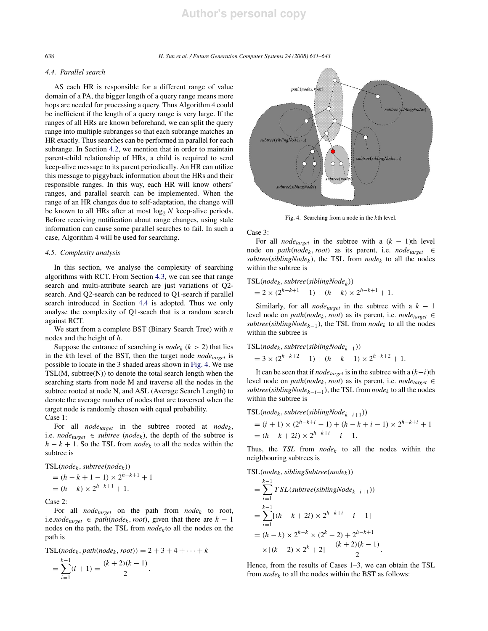## 4.4. Parallel search

AS each HR is responsible for a different range of value domain of a PA, the bigger length of a query range means more hops are needed for processing a query. Thus Algorithm 4 could be inefficient if the length of a query range is very large. If the ranges of all HRs are known beforehand, we can split the query range into multiple subranges so that each subrange matches an HR exactly. Thus searches can be performed in parallel for each subrange. In Section 4.2, we mention that in order to maintain parent-child relationship of HRs, a child is required to send keep-alive message to its parent periodically. An HR can utilize this message to piggyback information about the HRs and their responsible ranges. In this way, each HR will know others' ranges, and parallel search can be implemented. When the range of an HR changes due to self-adaptation, the change will be known to all HRs after at most  $log_2 N$  keep-alive periods. Before receiving notification about range changes, using stale information can cause some parallel searches to fail. In such a case, Algorithm 4 will be used for searching.

# 4.5. Complexity analysis

In this section, we analyse the complexity of searching algorithms with RCT. From Section 4.3, we can see that range search and multi-attribute search are just variations of Q2 search. And Q2-search can be reduced to Q1-search if parallel search introduced in Section 4.4 is adopted. Thus we only analyse the complexity of Q1-seach that is a random search against RCT.

We start from a complete BST (Binary Search Tree) with  $n$ nodes and the height of h.

Suppose the entrance of searching is  $node_k$  ( $k > 2$ ) that lies in the kth level of the BST, then the target node *node*  $t_{\text{target}}$  is possible to locate in the 3 shaded areas shown in Fig. 4. We use  $TSL(M, subtree(N))$  to denote the total search length when the searching starts from node M and traverse all the nodes in the subtree rooted at node N, and ASL (Average Search Length) to denote the average number of nodes that are traversed when the target node is randomly chosen with equal probability. Case 1:

For all *node*<sub>target</sub> in the subtree rooted at *node*<sub>k</sub>, i.e. *node<sub>target</sub>* ∈ *subtree* (*node<sub>k</sub>*), the depth of the subtree is  $h - k + 1$ . So the TSL from node<sub>k</sub> to all the nodes within the subtree is

TSL(*node<sub>k</sub>*, *subtree*(*node<sub>k</sub>*))  
= 
$$
(h - k + 1 - 1) \times 2^{h - k + 1} + 1
$$
  
=  $(h - k) \times 2^{h - k + 1} + 1$ .

Case 2:

For all *node*<sub>target</sub> on the path from  $node_k$  to root, i.e.node<sub>target</sub>  $\in$  path(node<sub>k</sub>, root), given that there are  $k - 1$ nodes on the path, the TSL from  $node_k$  to all the nodes on the path is

 $TSL(node_k, path(node_k, root)) = 2 + 3 + 4 + \cdots + k$ 

$$
= \sum_{i=1}^{k-1} (i+1) = \frac{(k+2)(k-1)}{2}.
$$



Fig. 4. Searching from a node in the kth level.

Case 3:

For all *node*<sub>target</sub> in the subtree with a  $(k - 1)$ th level node on *path*(node<sub>k</sub>, root) as its parent, i.e. node<sub>target</sub> ∈ subtree(sibling  $Node_k$ ), the TSL from  $node_k$  to all the nodes within the subtree is

 $\text{TSL}(node_k, subtree(siblingNode_k))$ 

 $= 2 \times (2^{h-k+1} - 1) + (h - k) \times 2^{h-k+1} + 1.$ 

Similarly, for all *node*<sub>target</sub> in the subtree with a  $k - 1$ level node on *path*(node<sub>k</sub>, root) as its parent, i.e. node<sub>target</sub> ∈ subtree(siblingNode<sub>k−1</sub>), the TSL from *node<sub>k</sub>* to all the nodes within the subtree is

TSL(node<sup>k</sup> ,subtree(siblingNodek−<sup>1</sup> )) = 3 × (2 <sup>h</sup>−k+<sup>2</sup> − 1) + (h − k + 1) × 2 <sup>h</sup>−k+<sup>2</sup> + 1.

It can be seen that if *node*<sub>target</sub> is in the subtree with a  $(k-i)$ th level node on *path*(node<sub>k</sub>, root) as its parent, i.e. *node*<sub>target</sub> ∈  $subtree (siblingNode_{k-i+1})$ , the TSL from  $node_k$  to all the nodes within the subtree is

TSL(*node<sub>k</sub>*, *subtree*(*siblingNode<sub>k-i+1</sub>*))  
= 
$$
(i + 1) \times (2^{h-k+i} - 1) + (h - k + i - 1) \times 2^{h-k+i} + 1
$$
  
=  $(h - k + 2i) \times 2^{h-k+i} - i - 1$ .

Thus, the  $TSL$  from  $node_k$  to all the nodes within the neighbouring subtrees is

 $TSL(node_k, siblingSubtree(node_k))$ 

$$
= \sum_{i=1}^{k-1} TSL(subtree(siblingNode_{k-i+1}))
$$
  
= 
$$
\sum_{i=1}^{k-1} [(h - k + 2i) \times 2^{h-k+i} - i - 1]
$$
  
= 
$$
(h - k) \times 2^{h-k} \times (2^k - 2) + 2^{h-k+1}
$$
  

$$
\times [(k - 2) \times 2^k + 2] - \frac{(k+2)(k-1)}{2}.
$$

Hence, from the results of Cases 1–3, we can obtain the TSL from  $node_k$  to all the nodes within the BST as follows: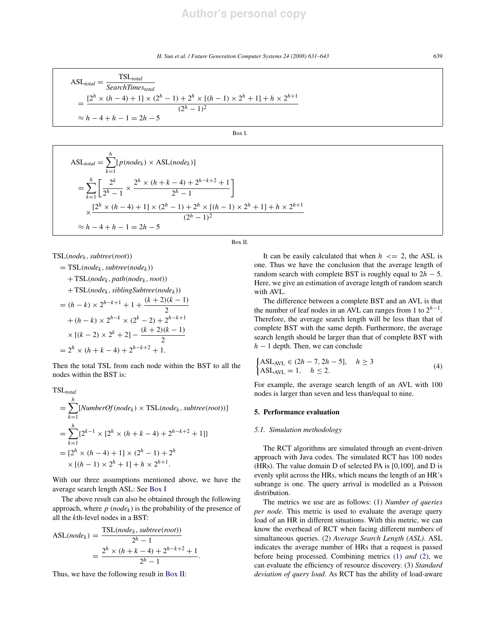$$
ASL_{total} = \frac{TSL_{total}}{SearchTimes_{total}}
$$
  
= 
$$
\frac{[2^h \times (h-4) + 1] \times (2^h - 1) + 2^h \times [(h-1) \times 2^h + 1] + h \times 2^{h+1}}{(2^h - 1)^2}
$$
  

$$
\approx h - 4 + h - 1 = 2h - 5
$$

Box I.

$$
\begin{aligned} \text{ASL}_{total} &= \sum_{k=1}^{h} [p(node_k) \times \text{ASL}(node_k)] \\ &= \sum_{k=1}^{h} \left[ \frac{2^k}{2^h - 1} \times \frac{2^h \times (h + k - 4) + 2^{h - k + 2} + 1}{2^h - 1} \right] \\ &\times \frac{[2^h \times (h - 4) + 1] \times (2^h - 1) + 2^h \times [(h - 1) \times 2^h + 1] + h \times 2^{h + 1}}{(2^h - 1)^2} \\ &\approx h - 4 + h - 1 = 2h - 5 \end{aligned}
$$

Box II.

 $TSL(node_k, subtree(root))$ 

$$
= TSL(node_k, subtree(node_k))
$$
  
+ TSL(node\_k, path(node\_k, root))  
+ TSL(node\_k, siblingSubtree(node\_k))  

$$
= (h - k) \times 2^{h-k+1} + 1 + \frac{(k+2)(k-1)}{2}
$$
  
+ (h - k) \times 2^{h-k} \times (2^k - 2) + 2^{h-k+1}  

$$
\times [(k-2) \times 2^k + 2] - \frac{(k+2)(k-1)}{2}
$$
  

$$
= 2^h \times (h + k - 4) + 2^{h-k+2} + 1.
$$

Then the total TSL from each node within the BST to all the nodes within the BST is:

$$
TSL_{total}
$$
  
=  $\sum_{k=1}^{h} [NumberOf(node_k) \times TSL(node_k, subtree(root))]$   
=  $\sum_{k=1}^{h} {2^{k-1} \times [2^h \times (h + k - 4) + 2^{h-k+2} + 1]}$   
=  $[2^h \times (h - 4) + 1] \times (2^h - 1) + 2^h$   
 $\times [(h - 1) \times 2^h + 1] + h \times 2^{h+1}.$ 

With our three assumptions mentioned above, we have the average search length ASL: See Box I

The above result can also be obtained through the following approach, where  $p \ (node_k)$  is the probability of the presence of all the kth-level nodes in a BST:

.

$$
ASL(node_k) = \frac{TSL(node_k, subtree(root))}{2^h - 1}
$$
  
= 
$$
\frac{2^h \times (h + k - 4) + 2^{h - k + 2} + 1}{2^h - 1}
$$

Thus, we have the following result in Box II:

It can be easily calculated that when  $h \leq 2$ , the ASL is one. Thus we have the conclusion that the average length of random search with complete BST is roughly equal to  $2h - 5$ . Here, we give an estimation of average length of random search with AVL.

The difference between a complete BST and an AVL is that the number of leaf nodes in an AVL can ranges from 1 to  $2^{h-1}$ . Therefore, the average search length will be less than that of complete BST with the same depth. Furthermore, the average search length should be larger than that of complete BST with  $h - 1$  depth. Then, we can conclude

$$
\begin{cases} \text{ASL}_{\text{AVL}} \in (2h - 7, 2h - 5], & h \ge 3\\ \text{ASL}_{\text{AVL}} = 1, & h \le 2. \end{cases} \tag{4}
$$

For example, the average search length of an AVL with 100 nodes is larger than seven and less than/equal to nine.

# 5. Performance evaluation

# 5.1. Simulation methodology

The RCT algorithms are simulated through an event-driven approach with Java codes. The simulated RCT has 100 nodes (HRs). The value domain D of selected PA is [0,100], and D is evenly split across the HRs, which means the length of an HR's subrange is one. The query arrival is modelled as a Poisson distribution.

The metrics we use are as follows: (1) Number of queries per node. This metric is used to evaluate the average query load of an HR in different situations. With this metric, we can know the overhead of RCT when facing different numbers of simultaneous queries. (2) Average Search Length (ASL). ASL indicates the average number of HRs that a request is passed before being processed. Combining metrics (1) and (2), we can evaluate the efficiency of resource discovery. (3) Standard deviation of query load. As RCT has the ability of load-aware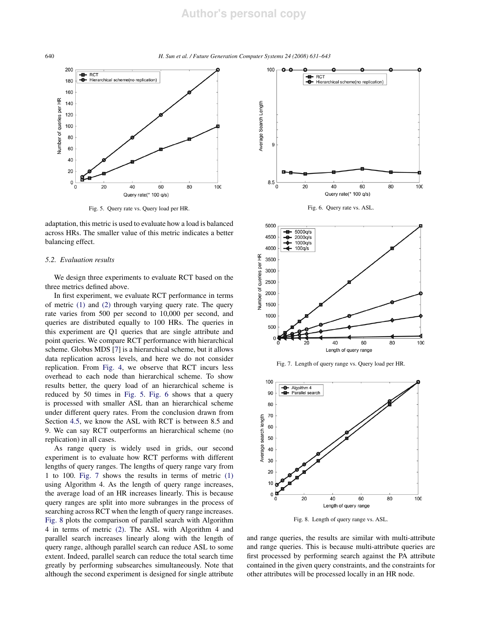



Fig. 5. Query rate vs. Query load per HR.

adaptation, this metric is used to evaluate how a load is balanced across HRs. The smaller value of this metric indicates a better balancing effect.

#### 5.2. Evaluation results

We design three experiments to evaluate RCT based on the three metrics defined above.

In first experiment, we evaluate RCT performance in terms of metric (1) and (2) through varying query rate. The query rate varies from 500 per second to 10,000 per second, and queries are distributed equally to 100 HRs. The queries in this experiment are Q1 queries that are single attribute and point queries. We compare RCT performance with hierarchical scheme. Globus MDS [7] is a hierarchical scheme, but it allows data replication across levels, and here we do not consider replication. From Fig. 4, we observe that RCT incurs less overhead to each node than hierarchical scheme. To show results better, the query load of an hierarchical scheme is reduced by 50 times in Fig. 5. Fig. 6 shows that a query is processed with smaller ASL than an hierarchical scheme under different query rates. From the conclusion drawn from Section 4.5, we know the ASL with RCT is between 8.5 and 9. We can say RCT outperforms an hierarchical scheme (no replication) in all cases.

As range query is widely used in grids, our second experiment is to evaluate how RCT performs with different lengths of query ranges. The lengths of query range vary from 1 to 100. Fig. 7 shows the results in terms of metric (1) using Algorithm 4. As the length of query range increases, the average load of an HR increases linearly. This is because query ranges are split into more subranges in the process of searching across RCT when the length of query range increases. Fig. 8 plots the comparison of parallel search with Algorithm 4 in terms of metric (2). The ASL with Algorithm 4 and parallel search increases linearly along with the length of query range, although parallel search can reduce ASL to some extent. Indeed, parallel search can reduce the total search time greatly by performing subsearches simultaneously. Note that although the second experiment is designed for single attribute











Fig. 8. Length of query range vs. ASL.

and range queries, the results are similar with multi-attribute and range queries. This is because multi-attribute queries are first processed by performing search against the PA attribute contained in the given query constraints, and the constraints for other attributes will be processed locally in an HR node.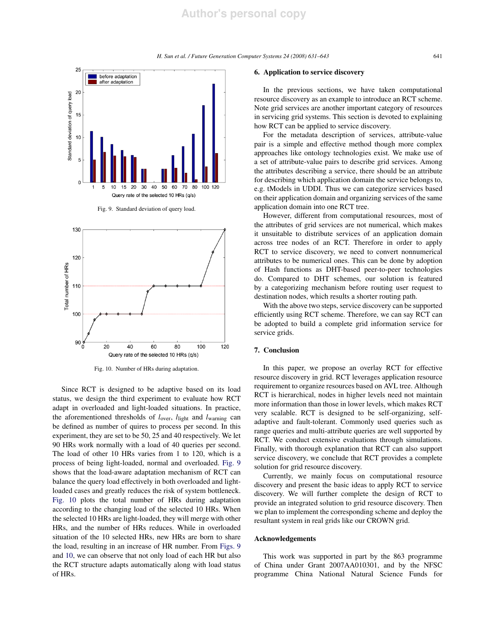

Fig. 10. Number of HRs during adaptation.

Since RCT is designed to be adaptive based on its load status, we design the third experiment to evaluate how RCT adapt in overloaded and light-loaded situations. In practice, the aforementioned thresholds of  $l_{over}$ ,  $l_{light}$  and  $l_{warming}$  can be defined as number of quires to process per second. In this experiment, they are set to be 50, 25 and 40 respectively. We let 90 HRs work normally with a load of 40 queries per second. The load of other 10 HRs varies from 1 to 120, which is a process of being light-loaded, normal and overloaded. Fig. 9 shows that the load-aware adaptation mechanism of RCT can balance the query load effectively in both overloaded and lightloaded cases and greatly reduces the risk of system bottleneck. Fig. 10 plots the total number of HRs during adaptation according to the changing load of the selected 10 HRs. When the selected 10 HRs are light-loaded, they will merge with other HRs, and the number of HRs reduces. While in overloaded situation of the 10 selected HRs, new HRs are born to share the load, resulting in an increase of HR number. From Figs. 9 and 10, we can observe that not only load of each HR but also the RCT structure adapts automatically along with load status of HRs.

#### 6. Application to service discovery

In the previous sections, we have taken computational resource discovery as an example to introduce an RCT scheme. Note grid services are another important category of resources in servicing grid systems. This section is devoted to explaining how RCT can be applied to service discovery.

For the metadata description of services, attribute-value pair is a simple and effective method though more complex approaches like ontology technologies exist. We make use of a set of attribute-value pairs to describe grid services. Among the attributes describing a service, there should be an attribute for describing which application domain the service belongs to, e.g. tModels in UDDI. Thus we can categorize services based on their application domain and organizing services of the same application domain into one RCT tree.

However, different from computational resources, most of the attributes of grid services are not numerical, which makes it unsuitable to distribute services of an application domain across tree nodes of an RCT. Therefore in order to apply RCT to service discovery, we need to convert nonnumerical attributes to be numerical ones. This can be done by adoption of Hash functions as DHT-based peer-to-peer technologies do. Compared to DHT schemes, our solution is featured by a categorizing mechanism before routing user request to destination nodes, which results a shorter routing path.

With the above two steps, service discovery can be supported efficiently using RCT scheme. Therefore, we can say RCT can be adopted to build a complete grid information service for service grids.

# 7. Conclusion

In this paper, we propose an overlay RCT for effective resource discovery in grid. RCT leverages application resource requirement to organize resources based on AVL tree. Although RCT is hierarchical, nodes in higher levels need not maintain more information than those in lower levels, which makes RCT very scalable. RCT is designed to be self-organizing, selfadaptive and fault-tolerant. Commonly used queries such as range queries and multi-attribute queries are well supported by RCT. We conduct extensive evaluations through simulations. Finally, with thorough explanation that RCT can also support service discovery, we conclude that RCT provides a complete solution for grid resource discovery.

Currently, we mainly focus on computational resource discovery and present the basic ideas to apply RCT to service discovery. We will further complete the design of RCT to provide an integrated solution to grid resource discovery. Then we plan to implement the corresponding scheme and deploy the resultant system in real grids like our CROWN grid.

# Acknowledgements

This work was supported in part by the 863 programme of China under Grant 2007AA010301, and by the NFSC programme China National Natural Science Funds for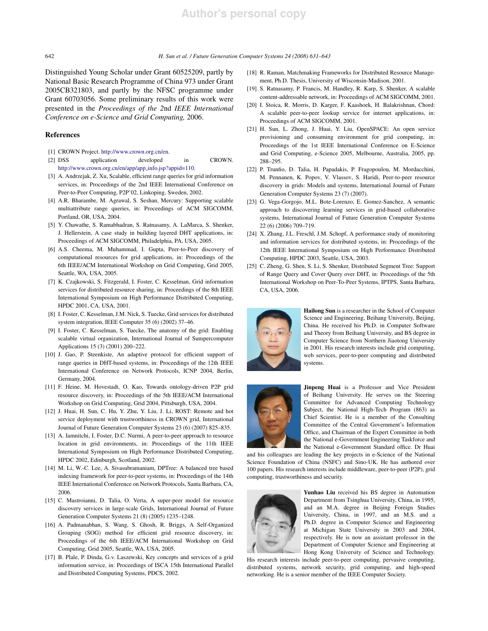Distinguished Young Scholar under Grant 60525209, partly by National Basic Research Programme of China 973 under Grant 2005CB321803, and partly by the NFSC programme under Grant 60703056. Some preliminary results of this work were presented in the Proceedings of the 2nd IEEE International Conference on e-Science and Grid Computing, 2006.

# References

- [1] CROWN Project. http://www.crown.org.cn/en.
- [2] DSS application developed in CROWN. http://www.crown.org.cn/en/app/app info.jsp?appid=110.
- [3] A. Andrzejak, Z. Xu, Scalable, efficient range queries for grid information services, in: Proceedings of the 2nd IEEE International Conference on Peer-to-Peer Computing, P2P'02, Linkoping, Sweden, 2002.
- [4] A.R. Bharambe, M. Agrawal, S. Seshan, Mercury: Supporting scalable multiattribute range queries, in: Proceedings of ACM SIGCOMM, Portland, OR, USA, 2004.
- [5] Y. Chawathe, S. Ramabhadran, S. Ratnasamy, A. LaMarca, S. Shenker, J. Hellerstein, A case study in building layered DHT applications, in: Proceedings of ACM SIGCOMM, Philadelphia, PA, USA, 2005.
- [6] A.S. Cheema, M. Muhammad, I. Gupta, Peer-to-Peer discovery of computational resources for grid applications, in: Proceedings of the 6th IEEE/ACM International Workshop on Grid Computing, Grid 2005, Seattle, WA, USA, 2005.
- [7] K. Czajkowski, S. Fitzgerald, I. Foster, C. Kesselman, Grid information services for distributed resource sharing, in: Proceedings of the 8th IEEE International Symposium on High Performance Distributed Computing, HPDC 2001, CA, USA, 2001.
- [8] I. Foster, C. Kesselman, J.M. Nick, S. Tuecke, Grid services for distributed system integration, IEEE Computer 35 (6) (2002) 37–46.
- [9] I. Foster, C. Kesselman, S. Tuecke, The anatomy of the grid: Enabling scalable virtual organization, International Journal of Sumpercomputer Applications 15 (3) (2001) 200–222.
- [10] J. Gao, P. Steenkiste, An adaptive protocol for efficient support of range queries in DHT-based systems, in: Proceedings of the 12th IEEE International Conference on Network Protocols, ICNP 2004, Berlin, Germany, 2004.
- [11] F. Heine, M. Hovestadt, O. Kao, Towards ontology-driven P2P grid resource discovery, in: Proceedings of the 5th IEEE/ACM International Workshop on Grid Computing, Grid 2004, Pittsburgh, USA, 2004.
- [12] J. Huai, H. Sun, C. Hu, Y. Zhu, Y. Liu, J. Li, ROST: Remote and hot service deployment with trustworthiness in CROWN grid, International Journal of Future Generation Computer Systems 23 (6) (2007) 825–835.
- [13] A. Iamnitchi, I. Foster, D.C. Nurmi, A peer-to-peer approach to resource location in grid environments, in: Proceedings of the 11th IEEE International Symposium on High Performance Distributed Computing, HPDC 2002, Edinburgh, Scotland, 2002.
- [14] M. Li, W.-C. Lee, A. Sivasubramaniam, DPTree: A balanced tree based indexing framework for peer-to-peer systems, in: Proceedings of the 14th IEEE International Conference on Network Protocols, Santa Barbara, CA, 2006.
- [15] C. Mastroianni, D. Talia, O. Verta, A super-peer model for resource discovery services in large-scale Grids, International Journal of Future Generation Computer Systems 21 (8) (2005) 1235–1248.
- [16] A. Padmanabhan, S. Wang, S. Ghosh, R. Briggs, A Self-Organized Grouping (SOG) method for efficient grid resource discovery, in: Proceedings of the 6th IEEE/ACM International Workshop on Grid Computing, Grid 2005, Seattle, WA, USA, 2005.
- [17] B. Plale, P. Dinda, G.v. Laszewski, Key concepts and services of a grid information service, in: Proceedings of ISCA 15th International Parallel and Distributed Computing Systems, PDCS, 2002.
- [18] R. Raman, Matchmaking Frameworks for Distributed Resource Management, Ph.D. Thesis, University of Wisconsin-Madison, 2001.
- [19] S. Ratnasamy, P. Francis, M. Handley, R. Karp, S. Shenker, A scalable content-addressable network, in: Proceedings of ACM SIGCOMM, 2001.
- [20] I. Stoica, R. Morris, D. Karger, F. Kaashoek, H. Balakrishnan, Chord: A scalable peer-to-peer lookup service for internet applications, in: Proceedings of ACM SIGCOMM, 2001.
- [21] H. Sun, L. Zhong, J. Huai, Y. Liu, OpenSPACE: An open service provisioning and consuming environment for grid computing, in: Proceedings of the 1st IEEE International Conference on E-Science and Grid Computing, e-Science 2005, Melbourne, Australia, 2005, pp. 288–295.
- [22] P. Trunfio, D. Talia, H. Papadakis, P. Fragopoulou, M. Mordacchini, M. Pennanen, K. Popov, V. Vlassov, S. Haridi, Peer-to-peer resource discovery in grids: Models and systems, International Journal of Future Generation Computer Systems 23 (7) (2007).
- [23] G. Vega-Gorgojo, M.L. Bote-Lorenzo, E. Gomez-Sanchez, A semantic approach to discovering learning services in grid-based collaborative systems, International Journal of Future Generation Computer Systems 22 (6) (2006) 709–719.
- [24] X. Zhang, J.L. Freschl, J.M. Schopf, A performance study of monitoring and information services for distributed systems, in: Proceedings of the 12th IEEE International Symposium on High Performance Distributed Computing, HPDC 2003, Seattle, USA, 2003.
- [25] C. Zheng, G. Shen, S. Li, S. Shenker, Distributed Segment Tree: Support of Range Query and Cover Query over DHT, in: Proceedings of the 5th International Workshop on Peer-To-Peer Systems, IPTPS, Santa Barbara, CA, USA, 2006.



Hailong Sun is a researcher in the School of Computer Science and Engineering, Beihang University, Beijing, China. He received his Ph.D. in Computer Software and Theory from Beihang University, and BS degree in Computer Science from Northern Jiaotong University in 2001. His research interests include grid computing, web services, peer-to-peer computing and distributed systems.



Jinpeng Huai is a Professor and Vice President of Beihang University. He serves on the Steering Committee for Advanced Computing Technology Subject, the National High-Tech Program (863) as Chief Scientist. He is a member of the Consulting Committee of the Central Government's Information Office, and Chairman of the Expert Committee in both the National e-Government Engineering Taskforce and the National e-Government Standard office. Dr Huai

and his colleagues are leading the key projects in e-Science of the National Science Foundation of China (NSFC) and Sino-UK. He has authored over 100 papers. His research interests include middleware, peer-to-peer (P2P), grid computing, trustworthiness and security.



Yunhao Liu received his BS degree in Automation Department from Tsinghua University, China, in 1995, and an M.A. degree in Beijing Foreign Studies University, China, in 1997, and an M.S. and a Ph.D. degree in Computer Science and Engineering at Michigan State University in 2003 and 2004, respectively. He is now an assistant professor in the Department of Computer Science and Engineering at Hong Kong University of Science and Technology.

His research interests include peer-to-peer computing, pervasive computing, distributed systems, network security, grid computing, and high-speed networking. He is a senior member of the IEEE Computer Society.